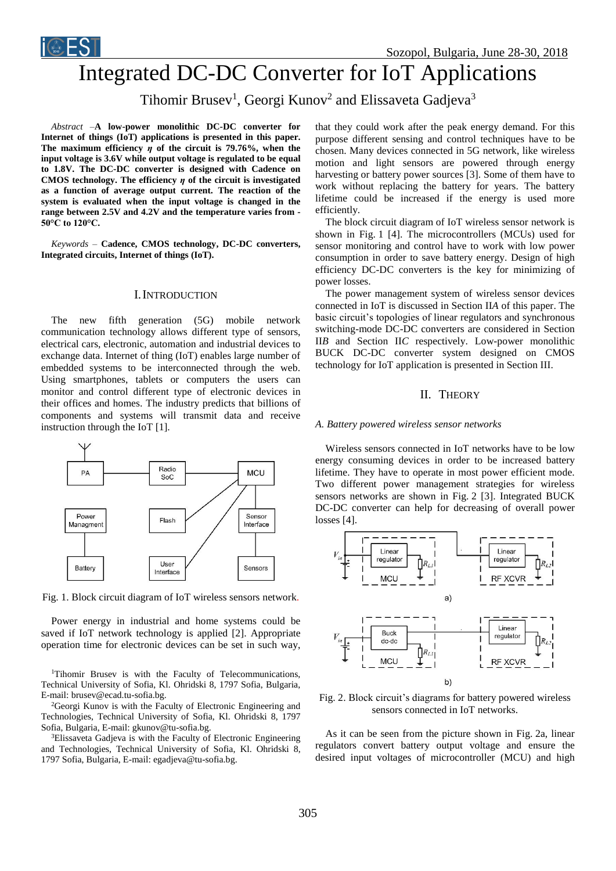



# Integrated DC-DC Converter for IoT Applications

Tihomir Brusev<sup>1</sup>, Georgi Kunov<sup>2</sup> and Elissaveta Gadjeva<sup>3</sup>

*Abstract –***A low-power monolithic DC-DC converter for Internet of things (IoT) applications is presented in this paper. The maximum efficiency** *η* **of the circuit is 79.76%, when the input voltage is 3.6V while output voltage is regulated to be equal to 1.8V. The DC-DC converter is designed with Cadence on CMOS technology. The efficiency** *η* **of the circuit is investigated as a function of average output current. The reaction of the system is evaluated when the input voltage is changed in the range between 2.5V and 4.2V and the temperature varies from - 50°C to 120°C.**

*Keywords –* **Cadence, CMOS technology, DC-DC converters, Integrated circuits, Internet of things (IoT).**

## I.INTRODUCTION

The new fifth generation (5G) mobile network communication technology allows different type of sensors, electrical cars, electronic, automation and industrial devices to exchange data. Internet of thing (IoT) enables large number of embedded systems to be interconnected through the web. Using smartphones, tablets or computers the users can monitor and control different type of electronic devices in their offices and homes. The industry predicts that billions of components and systems will transmit data and receive instruction through the IoT [1].



Fig. 1. Block circuit diagram of IoT wireless sensors network.

Power energy in industrial and home systems could be saved if IoT network technology is applied [2]. Appropriate operation time for electronic devices can be set in such way,

<sup>1</sup>Tihomir Brusev is with the Faculty of Telecommunications, Technical University of Sofia, Kl. Ohridski 8, 1797 Sofia, Bulgaria, E-mail: brusev@ecad.tu-sofia.bg.

<sup>2</sup>Georgi Kunov is with the [Faculty of Electronic Engineering and](http://www.tu-sofia.bg/eng_new/Fakulteti/faculties/fett/fett-menu.php)  [Technologies,](http://www.tu-sofia.bg/eng_new/Fakulteti/faculties/fett/fett-menu.php) Technical University of Sofia, Kl. Ohridski 8, 1797 Sofia, Bulgaria, E-mail: gkunov@tu-sofia.bg.

<sup>3</sup>Elissaveta Gadjeva is with the Faculty of Electronic Engineering and Technologies, Technical University of Sofia, Kl. Ohridski 8, 1797 Sofia, Bulgaria, E-mail: egadjeva@tu-sofia.bg.

that they could work after the peak energy demand. For this purpose different sensing and control techniques have to be chosen. Many devices connected in 5G network, like wireless motion and light sensors are powered through energy harvesting or battery power sources [3]. Some of them have to work without replacing the battery for years. The battery lifetime could be increased if the energy is used more efficiently.

The block circuit diagram of IoT wireless sensor network is shown in Fig. 1 [4]. The microcontrollers (MCUs) used for sensor monitoring and control have to work with low power consumption in order to save battery energy. Design of high efficiency DC-DC converters is the key for minimizing of power losses.

The power management system of wireless sensor devices connected in IoT is discussed in Section II*A* of this paper. The basic circuit's topologies of linear regulators and synchronous switching-mode DC-DC converters are considered in Section II*B* and Section II*C* respectively. Low-power monolithic BUCK DC-DC converter system designed on CMOS technology for IoT application is presented in Section III.

# II. THEORY

### *A. Battery powered wireless sensor networks*

Wireless sensors connected in IoT networks have to be low energy consuming devices in order to be increased battery lifetime. They have to operate in most power efficient mode. Two different power management strategies for wireless sensors networks are shown in Fig. 2 [3]. Integrated BUCK DC-DC converter can help for decreasing of overall power losses [4].



Fig. 2. Block circuit's diagrams for battery powered wireless sensors connected in IoT networks.

As it can be seen from the picture shown in Fig. 2a, linear regulators convert battery output voltage and ensure the desired input voltages of microcontroller (MCU) and high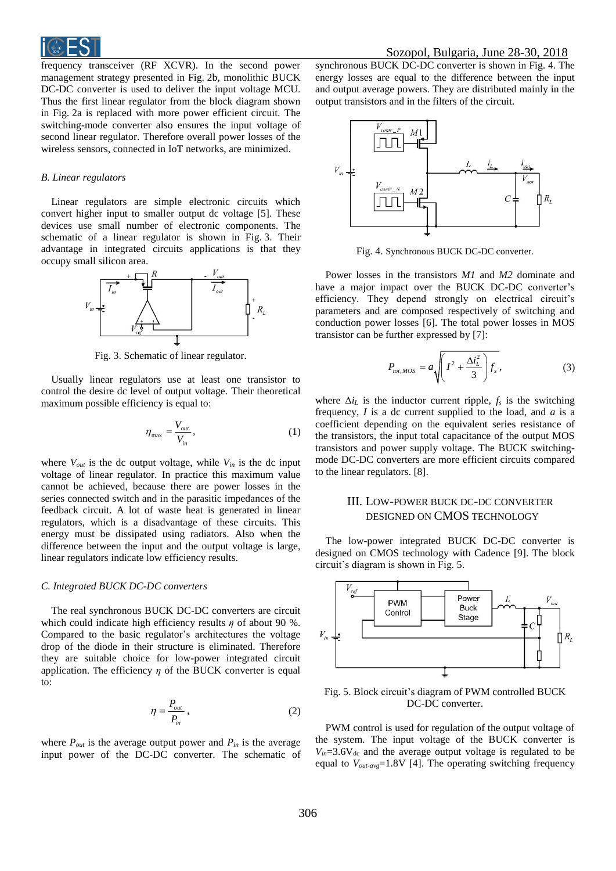frequency transceiver (RF XCVR). In the second power management strategy presented in Fig. 2b, monolithic BUCK DC-DC converter is used to deliver the input voltage MCU. Thus the first linear regulator from the block diagram shown in Fig. 2a is replaced with more power efficient circuit. The switching-mode converter also ensures the input voltage of second linear regulator. Therefore overall power losses of the wireless sensors, connected in IoT networks, are minimized.

## *B. Linear regulators*

Linear regulators are simple electronic circuits which convert higher input to smaller output dc voltage [5]. These devices use small number of electronic components. The schematic of a linear regulator is shown in Fig. 3. Their advantage in integrated circuits applications is that they occupy small silicon area.



Fig. 3. Schematic of linear regulator.

Usually linear regulators use at least one transistor to control the desire dc level of output voltage. Their theoretical maximum possible efficiency is equal to:

$$
\eta_{\text{max}} = \frac{V_{out}}{V_{in}},\tag{1}
$$

where  $V_{out}$  is the dc output voltage, while  $V_{in}$  is the dc input voltage of linear regulator. In practice this maximum value cannot be achieved, because there are power losses in the series connected switch and in the parasitic impedances of the feedback circuit. A lot of waste heat is generated in linear regulators, which is a disadvantage of these circuits. This energy must be dissipated using radiators. Also when the difference between the input and the output voltage is large, linear regulators indicate low efficiency results.

#### *C. Integrated BUCK DC-DC converters*

The real synchronous BUCK DC-DC converters are circuit which could indicate high efficiency results *η* of about 90 %. Compared to the basic regulator's architectures the voltage drop of the diode in their structure is eliminated. Therefore they are suitable choice for low-power integrated circuit application. The efficiency  $\eta$  of the BUCK converter is equal to:

$$
\eta = \frac{P_{out}}{P_{in}}\,,\tag{2}
$$

where  $P_{out}$  is the average output power and  $P_{in}$  is the average input power of the DC-DC converter. The schematic of

synchronous BUCK DC-DC converter is shown in Fig. 4. The energy losses are equal to the difference between the input and output average powers. They are distributed mainly in the output transistors and in the filters of the circuit.



Fig. 4. Synchronous BUCK DC-DC converter.

Power losses in the transistors *M1* and *M2* dominate and have a major impact over the BUCK DC-DC converter's efficiency. They depend strongly on electrical circuit's parameters and are composed respectively of switching and conduction power losses [6]. The total power losses in MOS transistor can be further expressed by [7]:

$$
P_{tot,MOS} = a \sqrt{\left(I^2 + \frac{\Delta t_L^2}{3}\right)} f_s \,,\tag{3}
$$

where  $\Delta i_L$  is the inductor current ripple,  $f_s$  is the switching frequency, *I* is a dc current supplied to the load, and *a* is a coefficient depending on the equivalent series resistance of the transistors, the input total capacitance of the output MOS transistors and power supply voltage. The BUCK switchingmode DC-DC converters are more efficient circuits compared to the linear regulators. [8].

# III. LOW-POWER BUCK DC-DC CONVERTER DESIGNED ON CMOS TECHNOLOGY

The low-power integrated BUCK DC-DC converter is designed on CMOS technology with Cadence [9]. The block circuit's diagram is shown in Fig. 5.



Fig. 5. Block circuit's diagram of PWM controlled BUCK DC-DC converter.

PWM control is used for regulation of the output voltage of the system. The input voltage of the BUCK converter is  $V_{in} = 3.6V_{dc}$  and the average output voltage is regulated to be equal to *Vout-avg*=1.8V [4]. The operating switching frequency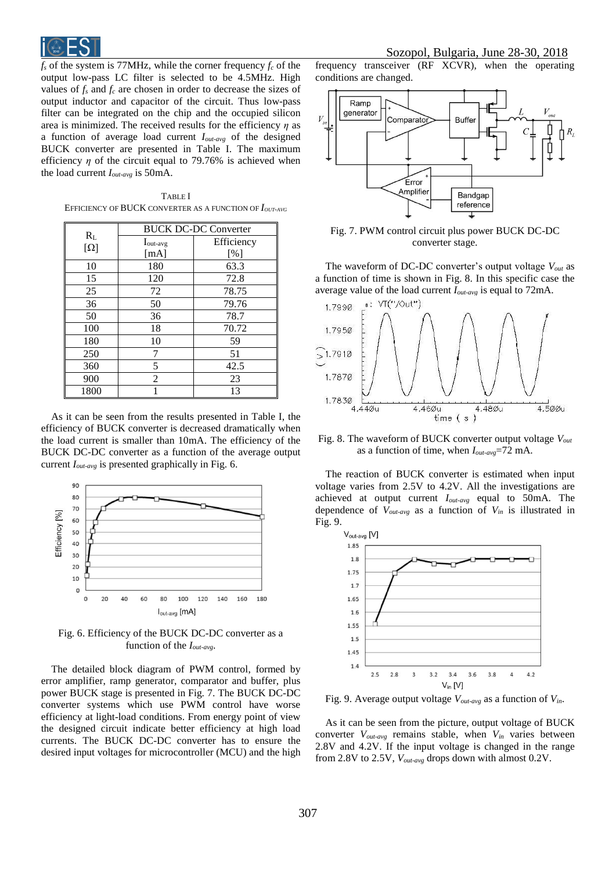

 $f_s$  of the system is 77MHz, while the corner frequency  $f_c$  of the output low-pass LC filter is selected to be 4.5MHz. High values of  $f_s$  and  $f_c$  are chosen in order to decrease the sizes of output inductor and capacitor of the circuit. Thus low-pass filter can be integrated on the chip and the occupied silicon area is minimized. The received results for the efficiency *η* as a function of average load current *Iout-avg* of the designed BUCK converter are presented in Table I. The maximum efficiency  $\eta$  of the circuit equal to 79.76% is achieved when the load current *Iout-avg* is 50mA.

TABLE I EFFICIENCY OF BUCK CONVERTER AS A FUNCTION OF *IOUT-AVG*

|                       | <b>BUCK DC-DC Converter</b> |            |
|-----------------------|-----------------------------|------------|
| $R_{L}$<br>$[\Omega]$ | $I_{out-avg}$               | Efficiency |
|                       | [mA]                        | [%]        |
| 10                    | 180                         | 63.3       |
| 15                    | 120                         | 72.8       |
| 25                    | 72                          | 78.75      |
| 36                    | 50                          | 79.76      |
| 50                    | 36                          | 78.7       |
| 100                   | 18                          | 70.72      |
| 180                   | 10                          | 59         |
| 250                   | 7                           | 51         |
| 360                   | 5                           | 42.5       |
| 900                   | $\overline{c}$              | 23         |
| 1800                  |                             | 13         |

As it can be seen from the results presented in Table I, the efficiency of BUCK converter is decreased dramatically when the load current is smaller than 10mA. The efficiency of the BUCK DC-DC converter as a function of the average output current *Iout-avg* is presented graphically in Fig. 6.



Fig. 6. Efficiency of the BUCK DC-DC converter as a function of the *Iout-avg*.

The detailed block diagram of PWM control, formed by error amplifier, ramp generator, comparator and buffer, plus power BUCK stage is presented in Fig. 7. The BUCK DC-DC converter systems which use PWM control have worse efficiency at light-load conditions. From energy point of view the designed circuit indicate better efficiency at high load currents. The BUCK DC-DC converter has to ensure the desired input voltages for microcontroller (MCU) and the high

frequency transceiver (RF XCVR), when the operating conditions are changed.



Fig. 7. PWM control circuit plus power BUCK DC-DC converter stage.

The waveform of DC-DC converter's output voltage *Vout* as a function of time is shown in Fig. 8. In this specific case the average value of the load current *Iout-avg* is equal to 72mA.



Fig. 8. The waveform of BUCK converter output voltage *Vout* as a function of time, when *Iout-avg*=72 mA.

The reaction of BUCK converter is estimated when input voltage varies from 2.5V to 4.2V. All the investigations are achieved at output current *Iout-avg* equal to 50mA. The dependence of *Vout-avg* as a function of *Vin* is illustrated in Fig. 9.



Fig. 9. Average output voltage *Vout-avg* as a function of *Vin*.

As it can be seen from the picture, output voltage of BUCK converter *Vout-avg* remains stable, when *Vin* varies between 2.8V and 4.2V. If the input voltage is changed in the range from 2.8V to 2.5V, *Vout-avg* drops down with almost 0.2V.